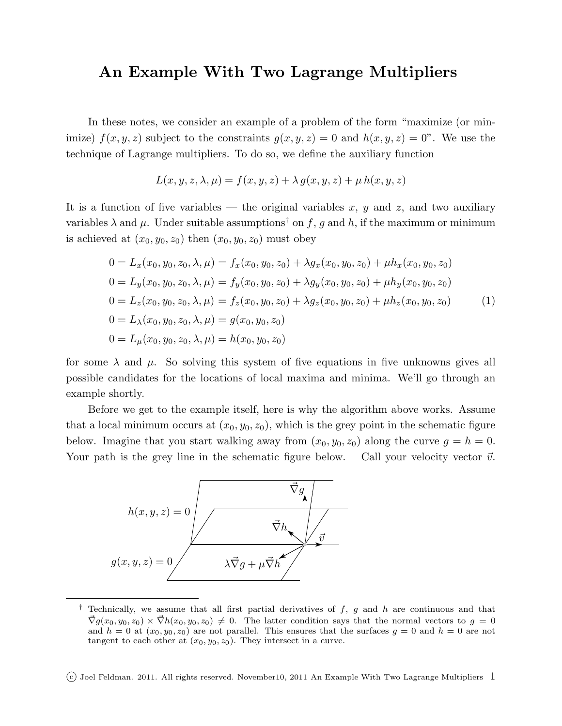## An Example With Two Lagrange Multipliers

In these notes, we consider an example of a problem of the form "maximize (or minimize)  $f(x, y, z)$  subject to the constraints  $g(x, y, z) = 0$  and  $h(x, y, z) = 0$ ". We use the technique of Lagrange multipliers. To do so, we define the auxiliary function

$$
L(x, y, z, \lambda, \mu) = f(x, y, z) + \lambda g(x, y, z) + \mu h(x, y, z)
$$

It is a function of five variables — the original variables x, y and z, and two auxiliary variables  $\lambda$  and  $\mu$ . Under suitable assumptions<sup>†</sup> on f, g and h, if the maximum or minimum is achieved at  $(x_0, y_0, z_0)$  then  $(x_0, y_0, z_0)$  must obey

$$
0 = L_x(x_0, y_0, z_0, \lambda, \mu) = f_x(x_0, y_0, z_0) + \lambda g_x(x_0, y_0, z_0) + \mu h_x(x_0, y_0, z_0)
$$
  
\n
$$
0 = L_y(x_0, y_0, z_0, \lambda, \mu) = f_y(x_0, y_0, z_0) + \lambda g_y(x_0, y_0, z_0) + \mu h_y(x_0, y_0, z_0)
$$
  
\n
$$
0 = L_z(x_0, y_0, z_0, \lambda, \mu) = f_z(x_0, y_0, z_0) + \lambda g_z(x_0, y_0, z_0) + \mu h_z(x_0, y_0, z_0)
$$
  
\n
$$
0 = L_\lambda(x_0, y_0, z_0, \lambda, \mu) = g(x_0, y_0, z_0)
$$
  
\n
$$
0 = L_\mu(x_0, y_0, z_0, \lambda, \mu) = h(x_0, y_0, z_0)
$$
 (1)

for some  $\lambda$  and  $\mu$ . So solving this system of five equations in five unknowns gives all possible candidates for the locations of local maxima and minima. We'll go through an example shortly.

Before we get to the example itself, here is why the algorithm above works. Assume that a local minimum occurs at  $(x_0, y_0, z_0)$ , which is the grey point in the schematic figure below. Imagine that you start walking away from  $(x_0, y_0, z_0)$  along the curve  $g = h = 0$ . Your path is the grey line in the schematic figure below. Call your velocity vector  $\vec{v}$ .



<sup>&</sup>lt;sup> $\dagger$ </sup> Technically, we assume that all first partial derivatives of  $f$ ,  $g$  and  $h$  are continuous and that  $\vec{\nabla}q(x_0, y_0, z_0) \times \vec{\nabla}h(x_0, y_0, z_0) \neq 0.$  The latter condition says that the normal vectors to  $q = 0$ and  $h = 0$  at  $(x_0, y_0, z_0)$  are not parallel. This ensures that the surfaces  $g = 0$  and  $h = 0$  are not tangent to each other at  $(x_0, y_0, z_0)$ . They intersect in a curve.

 $(c)$  Joel Feldman. 2011. All rights reserved. November10, 2011 An Example With Two Lagrange Multipliers 1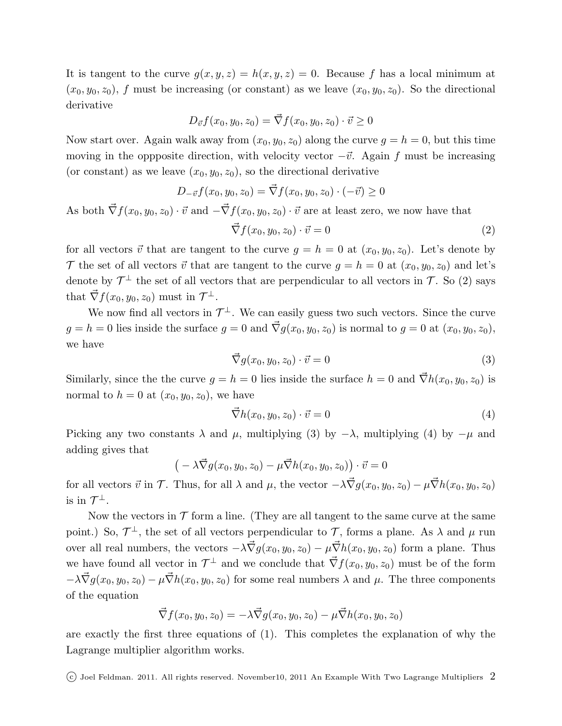It is tangent to the curve  $g(x, y, z) = h(x, y, z) = 0$ . Because f has a local minimum at  $(x_0, y_0, z_0)$ , f must be increasing (or constant) as we leave  $(x_0, y_0, z_0)$ . So the directional derivative

$$
D_{\vec{v}}f(x_0,y_0,z_0)=\vec{\nabla}f(x_0,y_0,z_0)\cdot\vec{v}\geq 0
$$

Now start over. Again walk away from  $(x_0, y_0, z_0)$  along the curve  $g = h = 0$ , but this time moving in the oppposite direction, with velocity vector  $-\vec{v}$ . Again f must be increasing (or constant) as we leave  $(x_0, y_0, z_0)$ , so the directional derivative

$$
D_{-\vec{v}}f(x_0, y_0, z_0) = \vec{\nabla}f(x_0, y_0, z_0) \cdot (-\vec{v}) \ge 0
$$

As both  $\vec{\nabla} f(x_0, y_0, z_0) \cdot \vec{v}$  and  $-\vec{\nabla} f(x_0, y_0, z_0) \cdot \vec{v}$  are at least zero, we now have that

$$
\vec{\nabla} f(x_0, y_0, z_0) \cdot \vec{v} = 0 \tag{2}
$$

for all vectors  $\vec{v}$  that are tangent to the curve  $g = h = 0$  at  $(x_0, y_0, z_0)$ . Let's denote by T the set of all vectors  $\vec{v}$  that are tangent to the curve  $g = h = 0$  at  $(x_0, y_0, z_0)$  and let's denote by  $\mathcal{T}^{\perp}$  the set of all vectors that are perpendicular to all vectors in  $\mathcal{T}$ . So (2) says that  $\vec{\nabla} f(x_0, y_0, z_0)$  must in  $\mathcal{T}^{\perp}$ .

We now find all vectors in  $\mathcal{T}^{\perp}$ . We can easily guess two such vectors. Since the curve  $g = h = 0$  lies inside the surface  $g = 0$  and  $\vec{\nabla} g(x_0, y_0, z_0)$  is normal to  $g = 0$  at  $(x_0, y_0, z_0)$ , we have

$$
\vec{\nabla}g(x_0, y_0, z_0) \cdot \vec{v} = 0 \tag{3}
$$

Similarly, since the the curve  $g = h = 0$  lies inside the surface  $h = 0$  and  $\vec{\nabla}h(x_0, y_0, z_0)$  is normal to  $h = 0$  at  $(x_0, y_0, z_0)$ , we have

$$
\vec{\nabla}h(x_0, y_0, z_0) \cdot \vec{v} = 0 \tag{4}
$$

Picking any two constants  $\lambda$  and  $\mu$ , multiplying (3) by  $-\lambda$ , multiplying (4) by  $-\mu$  and adding gives that

$$
(-\lambda \vec{\nabla} g(x_0, y_0, z_0) - \mu \vec{\nabla} h(x_0, y_0, z_0)) \cdot \vec{v} = 0
$$

for all vectors  $\vec{v}$  in  $\mathcal{T}$ . Thus, for all  $\lambda$  and  $\mu$ , the vector  $-\lambda \vec{\nabla} g(x_0, y_0, z_0) - \mu \vec{\nabla} h(x_0, y_0, z_0)$ is in  $\mathcal{T}^{\perp}$ .

Now the vectors in  $\mathcal T$  form a line. (They are all tangent to the same curve at the same point.) So,  $\mathcal{T}^{\perp}$ , the set of all vectors perpendicular to  $\mathcal{T}$ , forms a plane. As  $\lambda$  and  $\mu$  run over all real numbers, the vectors  $-\lambda \vec{\nabla} g(x_0, y_0, z_0) - \mu \vec{\nabla} h(x_0, y_0, z_0)$  form a plane. Thus we have found all vector in  $\mathcal{T}^{\perp}$  and we conclude that  $\vec{\nabla} f(x_0, y_0, z_0)$  must be of the form  $-\lambda \vec{\nabla} g(x_0, y_0, z_0) - \mu \vec{\nabla} h(x_0, y_0, z_0)$  for some real numbers  $\lambda$  and  $\mu$ . The three components of the equation

$$
\vec{\nabla} f(x_0, y_0, z_0) = -\lambda \vec{\nabla} g(x_0, y_0, z_0) - \mu \vec{\nabla} h(x_0, y_0, z_0)
$$

are exactly the first three equations of (1). This completes the explanation of why the Lagrange multiplier algorithm works.

(c) Joel Feldman. 2011. All rights reserved. November10, 2011 An Example With Two Lagrange Multipliers  $2$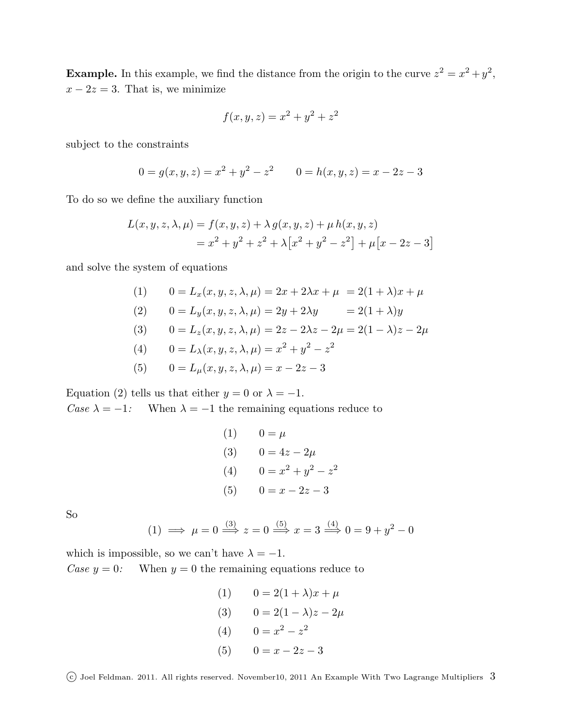**Example.** In this example, we find the distance from the origin to the curve  $z^2 = x^2 + y^2$ ,  $x - 2z = 3$ . That is, we minimize

$$
f(x, y, z) = x^2 + y^2 + z^2
$$

subject to the constraints

$$
0 = g(x, y, z) = x2 + y2 - z2
$$
 
$$
0 = h(x, y, z) = x - 2z - 3
$$

To do so we define the auxiliary function

$$
L(x, y, z, \lambda, \mu) = f(x, y, z) + \lambda g(x, y, z) + \mu h(x, y, z)
$$
  
=  $x^2 + y^2 + z^2 + \lambda [x^2 + y^2 - z^2] + \mu [x - 2z - 3]$ 

and solve the system of equations

(1) 
$$
0 = L_x(x, y, z, \lambda, \mu) = 2x + 2\lambda x + \mu = 2(1 + \lambda)x + \mu
$$
  
\n(2) 
$$
0 = L_y(x, y, z, \lambda, \mu) = 2y + 2\lambda y = 2(1 + \lambda)y
$$
  
\n(3) 
$$
0 = L_z(x, y, z, \lambda, \mu) = 2z - 2\lambda z - 2\mu = 2(1 - \lambda)z - 2\mu
$$
  
\n(4) 
$$
0 = L_z(x, y, z, \lambda, \mu) = x^2 + x^2 - z^2
$$

(4) 
$$
0 = L_{\lambda}(x, y, z, \lambda, \mu) = x^2 + y^2 - z^2
$$

(5) 
$$
0 = L_{\mu}(x, y, z, \lambda, \mu) = x - 2z - 3
$$

Equation (2) tells us that either  $y = 0$  or  $\lambda = -1$ . Case  $\lambda = -1$ : When  $\lambda = -1$  the remaining equations reduce to

(1) 
$$
0 = \mu
$$
  
\n(3)  $0 = 4z - 2\mu$   
\n(4)  $0 = x^2 + y^2 - z^2$   
\n(5)  $0 = x - 2z - 3$ 

So

(1) 
$$
\implies
$$
  $\mu = 0 \stackrel{(3)}{\implies} z = 0 \stackrel{(5)}{\implies} x = 3 \stackrel{(4)}{\implies} 0 = 9 + y^2 - 0$ 

which is impossible, so we can't have  $\lambda = -1$ . Case  $y = 0$ : When  $y = 0$  the remaining equations reduce to

> (1)  $0 = 2(1 + \lambda)x + \mu$ (3)  $0 = 2(1 - \lambda)z - 2\mu$ (4)  $0 = x^2 - z^2$ (5)  $0 = x - 2z - 3$

 $\overline{c}$  Joel Feldman. 2011. All rights reserved. November10, 2011 An Example With Two Lagrange Multipliers  $\overline{3}$